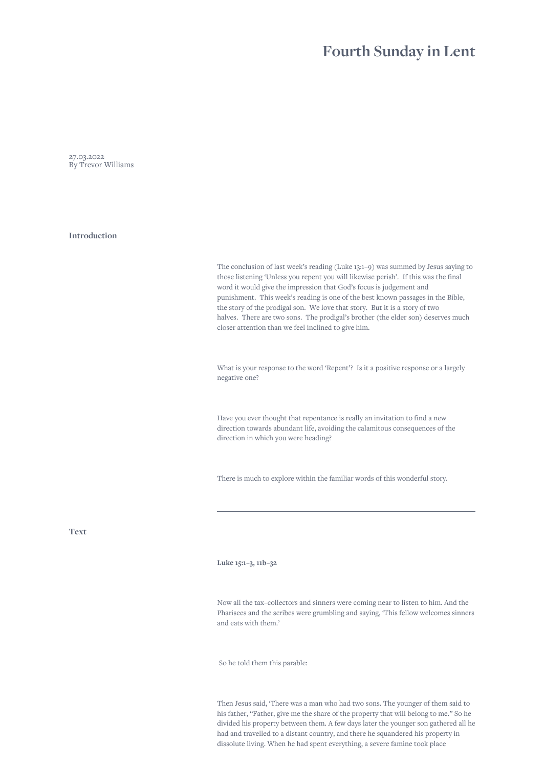## **Fourth Sunday in Lent**

27.03.2022 By Trevor Williams

**Introduction**

The conclusion of last week's reading (Luke 13:1–9) was summed by Jesus saying to those listening 'Unless you repent you will likewise perish'. If this was the final word it would give the impression that God's focus is judgement and punishment. This week's reading is one of the best known passages in the Bible, the story of the prodigal son. We love that story. But it is a story of two halves. There are two sons. The prodigal's brother (the elder son) deserves much closer attention than we feel inclined to give him.

What is your response to the word 'Repent'? Is it a positive response or a largely negative one?

Have you ever thought that repentance is really an invitation to find a new direction towards abundant life, avoiding the calamitous consequences of the direction in which you were heading?

There is much to explore within the familiar words of this wonderful story.

**Text**

**Luke 15:1–3, 11b–32**

Now all the tax–collectors and sinners were coming near to listen to him. And the Pharisees and the scribes were grumbling and saying, 'This fellow welcomes sinners and eats with them.'

So he told them this parable:

Then Jesus said, 'There was a man who had two sons. The younger of them said to his father, "Father, give me the share of the property that will belong to me." So he divided his property between them. A few days later the younger son gathered all he had and travelled to a distant country, and there he squandered his property in dissolute living. When he had spent everything, a severe famine took place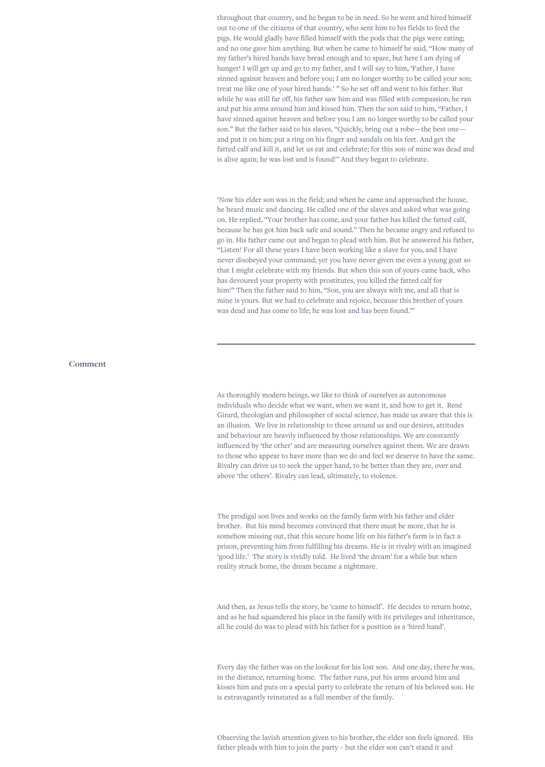throughout that country, and he began to be in need. So he went and hired himself out to one of the citizens of that country, who sent him to his fields to feed the pigs. He would gladly have filled himself with the pods that the pigs were eating; and no one gave him anything. But when he came to himself he said, "How many of my father's hired hands have bread enough and to spare, but here I am dying of hunger! I will get up and go to my father, and I will say to him, 'Father, I have sinned against heaven and before you; I am no longer worthy to be called your son; treat me like one of your hired hands.' " So he set off and went to his father. But while he was still far off, his father saw him and was filled with compassion; he ran and put his arms around him and kissed him. Then the son said to him, "Father, I have sinned against heaven and before you; I am no longer worthy to be called your son." But the father said to his slaves, "Quickly, bring out a robe—the best one and put it on him; put a ring on his finger and sandals on his feet. And get the fatted calf and kill it, and let us eat and celebrate; for this son of mine was dead and is alive again; he was lost and is found!" And they began to celebrate.

'Now his elder son was in the field; and when he came and approached the house, he heard music and dancing. He called one of the slaves and asked what was going on. He replied, "Your brother has come, and your father has killed the fatted calf, because he has got him back safe and sound." Then he became angry and refused to go in. His father came out and began to plead with him. But he answered his father, "Listen! For all these years I have been working like a slave for you, and I have never disobeyed your command; yet you have never given me even a young goat so that I might celebrate with my friends. But when this son of yours came back, who has devoured your property with prostitutes, you killed the fatted calf for him!" Then the father said to him, "Son, you are always with me, and all that is mine is yours. But we had to celebrate and rejoice, because this brother of yours was dead and has come to life; he was lost and has been found."'

## **Comment**

As thoroughly modern beings, we like to think of ourselves as autonomous individuals who decide what we want, when we want it, and how to get it. René Girard, theologian and philosopher of social science, has made us aware that this is an illusion. We live in relationship to those around us and our desires, attitudes and behaviour are heavily influenced by those relationships. We are constantly influenced by 'the other' and are measuring ourselves against them. We are drawn to those who appear to have more than we do and feel we deserve to have the same. Rivalry can drive us to seek the upper hand, to be better than they are, over and above 'the others'. Rivalry can lead, ultimately, to violence.

The prodigal son lives and works on the family farm with his father and elder brother. But his mind becomes convinced that there must be more, that he is somehow missing out, that this secure home life on his father's farm is in fact a prison, preventing him from fulfilling his dreams. He is in rivalry with an imagined 'good life.' The story is vividly told. He lived 'the dream' for a while but when reality struck home, the dream became a nightmare.

And then, as Jesus tells the story, he 'came to himself'. He decides to return home, and as he had squandered his place in the family with its privileges and inheritance, all he could do was to plead with his father for a position as a 'hired hand'.

Every day the father was on the lookout for his lost son. And one day, there he was, in the distance, returning home. The father runs, put his arms around him and kisses him and puts on a special party to celebrate the return of his beloved son. He is extravagantly reinstated as a full member of the family.

Observing the lavish attention given to his brother, the elder son feels ignored. His father pleads with him to join the party – but the elder son can't stand it and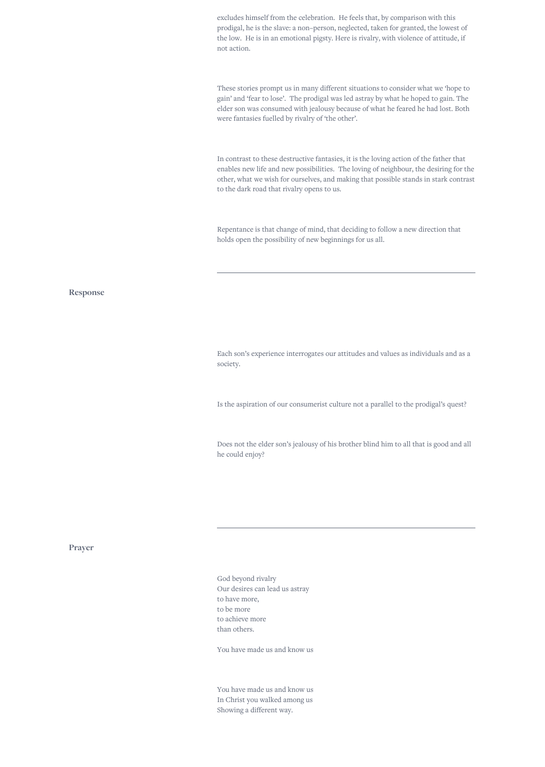excludes himself from the celebration. He feels that, by comparison with this prodigal, he is the slave: a non–person, neglected, taken for granted, the lowest of the low. He is in an emotional pigsty. Here is rivalry, with violence of attitude, if not action.

These stories prompt us in many different situations to consider what we 'hope to gain' and 'fear to lose'. The prodigal was led astray by what he hoped to gain. The elder son was consumed with jealousy because of what he feared he had lost. Both were fantasies fuelled by rivalry of 'the other'.

In contrast to these destructive fantasies, it is the loving action of the father that enables new life and new possibilities. The loving of neighbour, the desiring for the other, what we wish for ourselves, and making that possible stands in stark contrast to the dark road that rivalry opens to us.

Repentance is that change of mind, that deciding to follow a new direction that holds open the possibility of new beginnings for us all.

## **Response**

Each son's experience interrogates our attitudes and values as individuals and as a society.

Is the aspiration of our consumerist culture not a parallel to the prodigal's quest?

Does not the elder son's jealousy of his brother blind him to all that is good and all he could enjoy?

**Prayer**

God beyond rivalry Our desires can lead us astray to have more, to be more to achieve more than others.

You have made us and know us

You have made us and know us In Christ you walked among us Showing a different way.